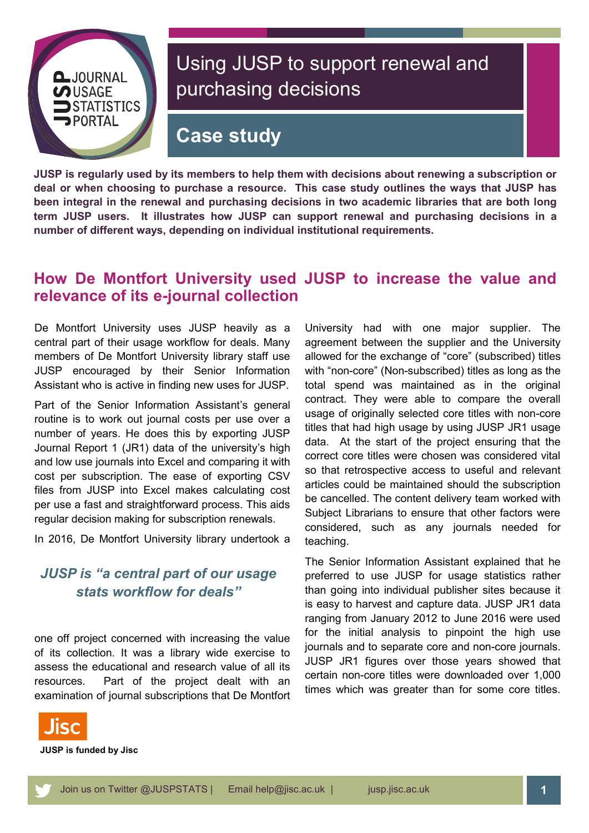

# Using JUSP to support renewal and purchasing decisions

# **Case study**

**JUSP is regularly used by its members to help them with decisions about renewing a subscription or deal or when choosing to purchase a resource. This case study outlines the ways that JUSP has been integral in the renewal and purchasing decisions in two academic libraries that are both long term JUSP users. It illustrates how JUSP can support renewal and purchasing decisions in a number of different ways, depending on individual institutional requirements.**

#### **How De Montfort University used JUSP to increase the value and relevance of its e-journal collection**

De Montfort University uses JUSP heavily as a central part of their usage workflow for deals. Many members of De Montfort University library staff use JUSP encouraged by their Senior Information Assistant who is active in finding new uses for JUSP.

Part of the Senior Information Assistant's general routine is to work out journal costs per use over a number of years. He does this by exporting JUSP Journal Report 1 (JR1) data of the university's high and low use journals into Excel and comparing it with cost per subscription. The ease of exporting CSV files from JUSP into Excel makes calculating cost per use a fast and straightforward process. This aids regular decision making for subscription renewals.

In 2016, De Montfort University library undertook a

#### *JUSP is "a central part of our usage stats workflow for deals"*

one off project concerned with increasing the value of its collection. It was a library wide exercise to assess the educational and research value of all its resources. Part of the project dealt with an examination of journal subscriptions that De Montfort University had with one major supplier. The agreement between the supplier and the University allowed for the exchange of "core" (subscribed) titles with "non-core" (Non-subscribed) titles as long as the total spend was maintained as in the original contract. They were able to compare the overall usage of originally selected core titles with non-core titles that had high usage by using JUSP JR1 usage data. At the start of the project ensuring that the correct core titles were chosen was considered vital so that retrospective access to useful and relevant articles could be maintained should the subscription be cancelled. The content delivery team worked with Subject Librarians to ensure that other factors were considered, such as any journals needed for teaching.

The Senior Information Assistant explained that he preferred to use JUSP for usage statistics rather than going into individual publisher sites because it is easy to harvest and capture data. JUSP JR1 data ranging from January 2012 to June 2016 were used for the initial analysis to pinpoint the high use journals and to separate core and non-core journals. JUSP JR1 figures over those years showed that certain non-core titles were downloaded over 1,000 times which was greater than for some core titles.



**JUSP is funded by Jisc**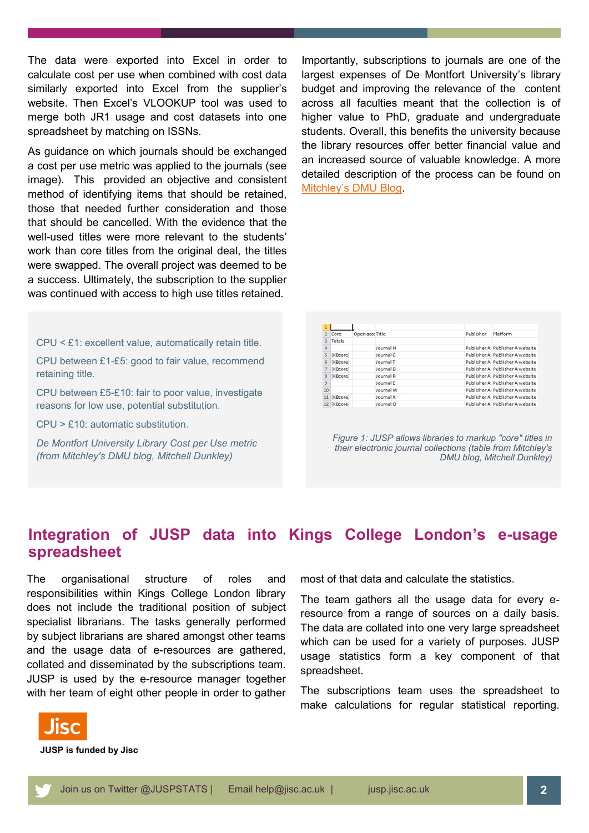The data were exported into Excel in order to calculate cost per use when combined with cost data similarly exported into Excel from the supplier's website. Then Excel's VLOOKUP tool was used to merge both JR1 usage and cost datasets into one spreadsheet by matching on ISSNs.

As guidance on which journals should be exchanged a cost per use metric was applied to the journals (see image). This provided an objective and consistent method of identifying items that should be retained, those that needed further consideration and those that should be cancelled. With the evidence that the well-used titles were more relevant to the students' work than core titles from the original deal, the titles were swapped. The overall project was deemed to be a success. Ultimately, the subscription to the supplier was continued with access to high use titles retained.

CPU < £1: excellent value, automatically retain title.

CPU between £1-£5: good to fair value, recommend retaining title.

CPU between £5-£10: fair to poor value, investigate reasons for low use, potential substitution.

CPU > £10: automatic substitution.

*De Montfort University Library Cost per Use metric (from Mitchley's DMU blog, Mitchell Dunkley)*

Importantly, subscriptions to journals are one of the largest expenses of De Montfort University's library budget and improving the relevance of the content across all faculties meant that the collection is of higher value to PhD, graduate and undergraduate students. Overall, this benefits the university because the library resources offer better financial value and an increased source of valuable knowledge. A more detailed description of the process can be found on Mitchley'[s DMU Blog.](http://mitchley.our.dmu.ac.uk/2017/04/11/using-jusp-counter-jr1-usage-data-to-review-dmu-librarys-sciencedirect-journal-titles/)

| 1              |                 |                 |           |           |                                 |
|----------------|-----------------|-----------------|-----------|-----------|---------------------------------|
| $\overline{2}$ | Core            | Open acce Title |           | Publisher | Platform                        |
| 3              | Totals          |                 |           |           |                                 |
| 4              |                 |                 | Journal H |           | Publisher A Publisher A website |
| 5              | [KBcore]        |                 | Journal C |           | Publisher A Publisher A website |
| б              | [KBcore]        |                 | Journal T |           | Publisher A Publisher A website |
|                | [KBcore]        |                 | Journal B |           | Publisher A Publisher A website |
| 8              | <b>[KBcore]</b> |                 | Journal R |           | Publisher A Publisher A website |
| 9              |                 |                 | Journal E |           | Publisher A Publisher A website |
| 10             |                 |                 | Journal W |           | Publisher A Publisher A website |
|                | 11 [KBcore]     |                 | Journal X |           | Publisher A Publisher A website |
|                | 12 [KBcore]     |                 | Journal O |           | Publisher A Publisher A website |

*Figure 1: JUSP allows libraries to markup "core" titles in their electronic journal collections (table from Mitchley's DMU blog, Mitchell Dunkley)*

### **Integration of JUSP data into Kings College London's e-usage spreadsheet**

The organisational structure of roles and responsibilities within Kings College London library does not include the traditional position of subject specialist librarians. The tasks generally performed by subject librarians are shared amongst other teams and the usage data of e-resources are gathered, collated and disseminated by the subscriptions team. JUSP is used by the e-resource manager together with her team of eight other people in order to gather

most of that data and calculate the statistics.

The team gathers all the usage data for every eresource from a range of sources on a daily basis. The data are collated into one very large spreadsheet which can be used for a variety of purposes. JUSP usage statistics form a key component of that spreadsheet.

The subscriptions team uses the spreadsheet to make calculations for regular statistical reporting.



**JUSP is funded by Jisc**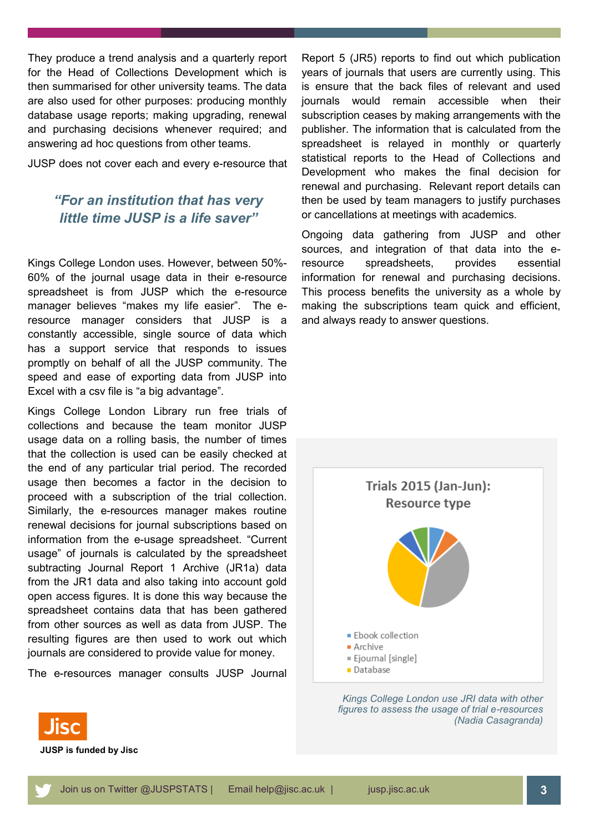They produce a trend analysis and a quarterly report for the Head of Collections Development which is then summarised for other university teams. The data are also used for other purposes: producing monthly database usage reports; making upgrading, renewal and purchasing decisions whenever required; and answering ad hoc questions from other teams.

JUSP does not cover each and every e-resource that

#### *"For an institution that has very little time JUSP is a life saver"*

Kings College London uses. However, between 50%- 60% of the journal usage data in their e-resource spreadsheet is from JUSP which the e-resource manager believes "makes my life easier". The eresource manager considers that JUSP is a constantly accessible, single source of data which has a support service that responds to issues promptly on behalf of all the JUSP community. The speed and ease of exporting data from JUSP into Excel with a csv file is "a big advantage".

Kings College London Library run free trials of collections and because the team monitor JUSP usage data on a rolling basis, the number of times that the collection is used can be easily checked at the end of any particular trial period. The recorded usage then becomes a factor in the decision to proceed with a subscription of the trial collection. Similarly, the e-resources manager makes routine renewal decisions for journal subscriptions based on information from the e-usage spreadsheet. "Current usage" of journals is calculated by the spreadsheet subtracting Journal Report 1 Archive (JR1a) data from the JR1 data and also taking into account gold open access figures. It is done this way because the spreadsheet contains data that has been gathered from other sources as well as data from JUSP. The resulting figures are then used to work out which journals are considered to provide value for money.

The e-resources manager consults JUSP Journal

Report 5 (JR5) reports to find out which publication years of journals that users are currently using. This is ensure that the back files of relevant and used journals would remain accessible when their subscription ceases by making arrangements with the publisher. The information that is calculated from the spreadsheet is relayed in monthly or quarterly statistical reports to the Head of Collections and Development who makes the final decision for renewal and purchasing. Relevant report details can then be used by team managers to justify purchases or cancellations at meetings with academics.

Ongoing data gathering from JUSP and other sources, and integration of that data into the eresource spreadsheets, provides essential information for renewal and purchasing decisions. This process benefits the university as a whole by making the subscriptions team quick and efficient, and always ready to answer questions.



*Kings College London use JRI data with other figures to assess the usage of trial e-resources (Nadia Casagranda)*